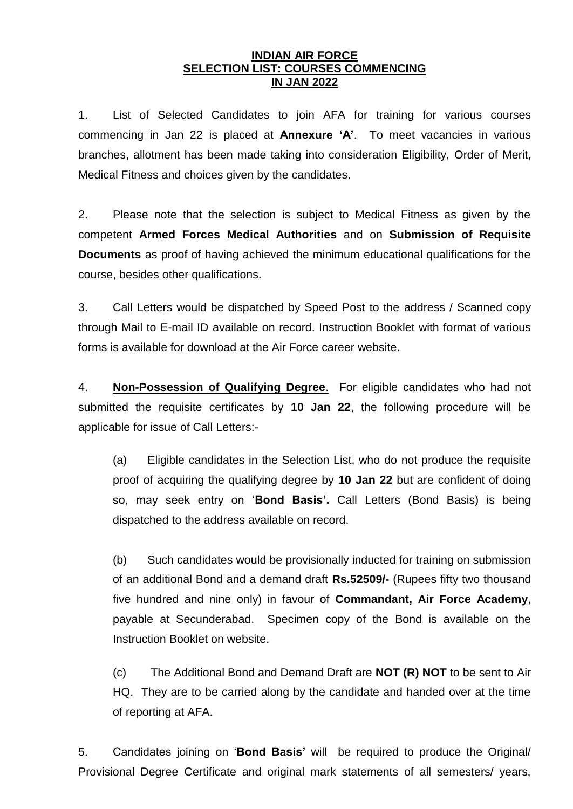#### **INDIAN AIR FORCE SELECTION LIST: COURSES COMMENCING IN JAN 2022**

1. List of Selected Candidates to join AFA for training for various courses commencing in Jan 22 is placed at **Annexure 'A'**. To meet vacancies in various branches, allotment has been made taking into consideration Eligibility, Order of Merit, Medical Fitness and choices given by the candidates.

2. Please note that the selection is subject to Medical Fitness as given by the competent **Armed Forces Medical Authorities** and on **Submission of Requisite Documents** as proof of having achieved the minimum educational qualifications for the course, besides other qualifications.

3. Call Letters would be dispatched by Speed Post to the address / Scanned copy through Mail to E-mail ID available on record. Instruction Booklet with format of various forms is available for download at the Air Force career website.

4. **Non-Possession of Qualifying Degree**. For eligible candidates who had not submitted the requisite certificates by **10 Jan 22**, the following procedure will be applicable for issue of Call Letters:-

(a) Eligible candidates in the Selection List, who do not produce the requisite proof of acquiring the qualifying degree by **10 Jan 22** but are confident of doing so, may seek entry on '**Bond Basis'.** Call Letters (Bond Basis) is being dispatched to the address available on record.

(b) Such candidates would be provisionally inducted for training on submission of an additional Bond and a demand draft **Rs.52509/-** (Rupees fifty two thousand five hundred and nine only) in favour of **Commandant, Air Force Academy**, payable at Secunderabad. Specimen copy of the Bond is available on the Instruction Booklet on website.

(c) The Additional Bond and Demand Draft are **NOT (R) NOT** to be sent to Air HQ. They are to be carried along by the candidate and handed over at the time of reporting at AFA.

5. Candidates joining on '**Bond Basis'** will be required to produce the Original/ Provisional Degree Certificate and original mark statements of all semesters/ years,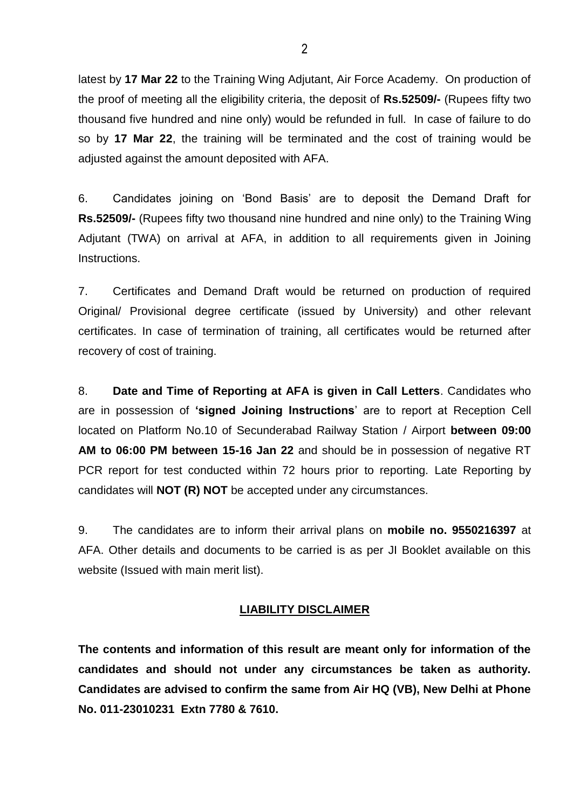latest by **17 Mar 22** to the Training Wing Adjutant, Air Force Academy. On production of the proof of meeting all the eligibility criteria, the deposit of **Rs.52509/-** (Rupees fifty two thousand five hundred and nine only) would be refunded in full. In case of failure to do so by **17 Mar 22**, the training will be terminated and the cost of training would be adjusted against the amount deposited with AFA.

6. Candidates joining on 'Bond Basis' are to deposit the Demand Draft for **Rs.52509/-** (Rupees fifty two thousand nine hundred and nine only) to the Training Wing Adjutant (TWA) on arrival at AFA, in addition to all requirements given in Joining Instructions.

7. Certificates and Demand Draft would be returned on production of required Original/ Provisional degree certificate (issued by University) and other relevant certificates. In case of termination of training, all certificates would be returned after recovery of cost of training.

8. **Date and Time of Reporting at AFA is given in Call Letters**. Candidates who are in possession of **'signed Joining Instructions**' are to report at Reception Cell located on Platform No.10 of Secunderabad Railway Station / Airport **between 09:00 AM to 06:00 PM between 15-16 Jan 22** and should be in possession of negative RT PCR report for test conducted within 72 hours prior to reporting. Late Reporting by candidates will **NOT (R) NOT** be accepted under any circumstances.

9. The candidates are to inform their arrival plans on **mobile no. 9550216397** at AFA. Other details and documents to be carried is as per JI Booklet available on this website (Issued with main merit list).

#### **LIABILITY DISCLAIMER**

**The contents and information of this result are meant only for information of the candidates and should not under any circumstances be taken as authority. Candidates are advised to confirm the same from Air HQ (VB), New Delhi at Phone No. 011-23010231 Extn 7780 & 7610.**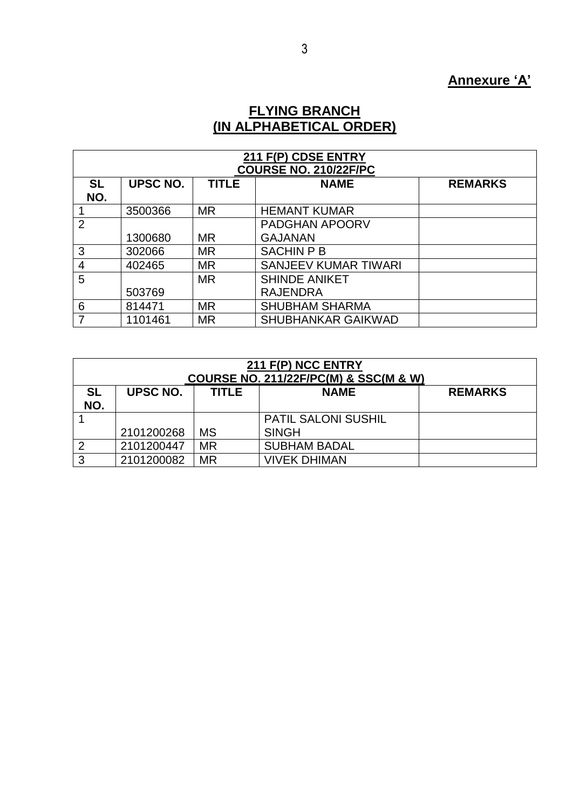# **Annexure 'A'**

#### **FLYING BRANCH (IN ALPHABETICAL ORDER)**

| 211 F(P) CDSE ENTRY |                 |              |                              |                |  |
|---------------------|-----------------|--------------|------------------------------|----------------|--|
|                     |                 |              | <b>COURSE NO. 210/22F/PC</b> |                |  |
| <b>SL</b>           | <b>UPSC NO.</b> | <b>TITLE</b> | <b>NAME</b>                  | <b>REMARKS</b> |  |
| NO.                 |                 |              |                              |                |  |
|                     | 3500366         | <b>MR</b>    | <b>HEMANT KUMAR</b>          |                |  |
| $\overline{2}$      |                 |              | <b>PADGHAN APOORV</b>        |                |  |
|                     | 1300680         | <b>MR</b>    | <b>GAJANAN</b>               |                |  |
| 3                   | 302066          | <b>MR</b>    | <b>SACHIN P B</b>            |                |  |
| 4                   | 402465          | <b>MR</b>    | <b>SANJEEV KUMAR TIWARI</b>  |                |  |
| 5                   |                 | MR.          | <b>SHINDE ANIKET</b>         |                |  |
|                     | 503769          |              | <b>RAJENDRA</b>              |                |  |
| 6                   | 814471          | <b>MR</b>    | <b>SHUBHAM SHARMA</b>        |                |  |
| 7                   | 1101461         | <b>MR</b>    | <b>SHUBHANKAR GAIKWAD</b>    |                |  |

| 211 F(P) NCC ENTRY<br><b>COURSE NO. 211/22F/PC(M) &amp; SSC(M &amp; W)</b> |                                                           |           |                            |  |  |  |
|----------------------------------------------------------------------------|-----------------------------------------------------------|-----------|----------------------------|--|--|--|
| <b>SL</b>                                                                  | UPSC NO.<br><b>NAME</b><br><b>TITLE</b><br><b>REMARKS</b> |           |                            |  |  |  |
| NO.                                                                        |                                                           |           |                            |  |  |  |
|                                                                            |                                                           |           | <b>PATIL SALONI SUSHIL</b> |  |  |  |
|                                                                            | 2101200268                                                | <b>MS</b> | <b>SINGH</b>               |  |  |  |
| ⌒                                                                          | 2101200447                                                | <b>MR</b> | <b>SUBHAM BADAL</b>        |  |  |  |
| ◠                                                                          | 2101200082                                                | ΜR        | <b>VIVEK DHIMAN</b>        |  |  |  |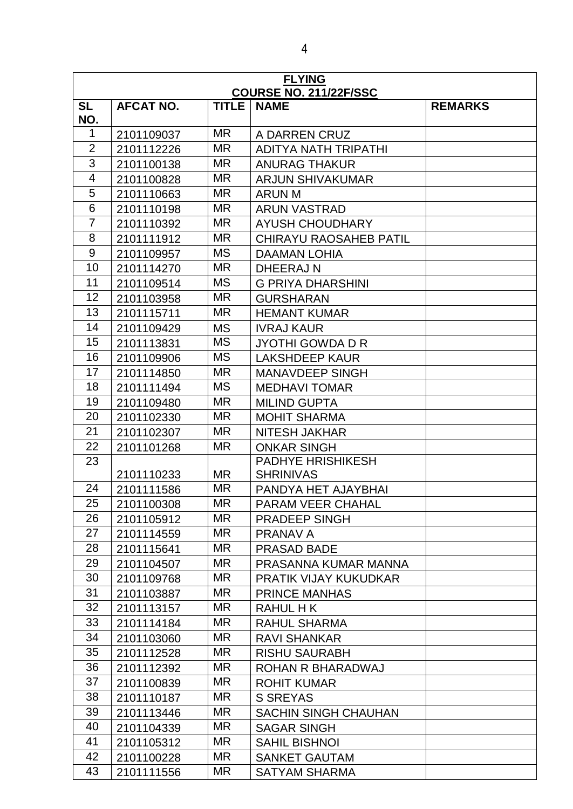| <b>FLYING</b><br><b>COURSE NO. 211/22F/SSC</b> |                  |              |                               |                |
|------------------------------------------------|------------------|--------------|-------------------------------|----------------|
| <b>SL</b><br>NO.                               | <b>AFCAT NO.</b> | <b>TITLE</b> | <b>NAME</b>                   | <b>REMARKS</b> |
| 1                                              | 2101109037       | <b>MR</b>    | A DARREN CRUZ                 |                |
| $\overline{2}$                                 | 2101112226       | <b>MR</b>    | <b>ADITYA NATH TRIPATHI</b>   |                |
| $\overline{3}$                                 | 2101100138       | <b>MR</b>    | <b>ANURAG THAKUR</b>          |                |
| $\overline{4}$                                 | 2101100828       | <b>MR</b>    | <b>ARJUN SHIVAKUMAR</b>       |                |
| 5                                              | 2101110663       | <b>MR</b>    | <b>ARUN M</b>                 |                |
| 6                                              | 2101110198       | <b>MR</b>    | <b>ARUN VASTRAD</b>           |                |
| $\overline{7}$                                 | 2101110392       | <b>MR</b>    | <b>AYUSH CHOUDHARY</b>        |                |
| 8                                              | 2101111912       | <b>MR</b>    | <b>CHIRAYU RAOSAHEB PATIL</b> |                |
| 9                                              | 2101109957       | <b>MS</b>    | <b>DAAMAN LOHIA</b>           |                |
| 10                                             | 2101114270       | <b>MR</b>    | <b>DHEERAJN</b>               |                |
| 11                                             | 2101109514       | <b>MS</b>    | <b>G PRIYA DHARSHINI</b>      |                |
| 12                                             | 2101103958       | <b>MR</b>    | <b>GURSHARAN</b>              |                |
| 13                                             | 2101115711       | <b>MR</b>    | <b>HEMANT KUMAR</b>           |                |
| 14                                             | 2101109429       | <b>MS</b>    | <b>IVRAJ KAUR</b>             |                |
| 15                                             | 2101113831       | <b>MS</b>    | <b>JYOTHI GOWDA D R</b>       |                |
| 16                                             | 2101109906       | <b>MS</b>    | <b>LAKSHDEEP KAUR</b>         |                |
| 17                                             | 2101114850       | <b>MR</b>    | <b>MANAVDEEP SINGH</b>        |                |
| 18                                             | 2101111494       | <b>MS</b>    | <b>MEDHAVI TOMAR</b>          |                |
| 19                                             | 2101109480       | <b>MR</b>    | <b>MILIND GUPTA</b>           |                |
| 20                                             | 2101102330       | <b>MR</b>    | <b>MOHIT SHARMA</b>           |                |
| 21                                             | 2101102307       | <b>MR</b>    | <b>NITESH JAKHAR</b>          |                |
| 22                                             | 2101101268       | <b>MR</b>    | <b>ONKAR SINGH</b>            |                |
| 23                                             |                  |              | <b>PADHYE HRISHIKESH</b>      |                |
|                                                | 2101110233       | <b>MR</b>    | <b>SHRINIVAS</b>              |                |
| 24                                             | 2101111586       | <b>MR</b>    | PANDYA HET AJAYBHAI           |                |
| 25                                             | 2101100308       | <b>MR</b>    | <b>PARAM VEER CHAHAL</b>      |                |
| 26                                             | 2101105912       | <b>MR</b>    | <b>PRADEEP SINGH</b>          |                |
| 27                                             | 2101114559       | MR           | PRANAV A                      |                |
| 28                                             | 2101115641       | <b>MR</b>    | <b>PRASAD BADE</b>            |                |
| 29                                             | 2101104507       | <b>MR</b>    | PRASANNA KUMAR MANNA          |                |
| 30                                             | 2101109768       | MR           | <b>PRATIK VIJAY KUKUDKAR</b>  |                |
| 31                                             | 2101103887       | <b>MR</b>    | <b>PRINCE MANHAS</b>          |                |
| 32                                             | 2101113157       | MR           | RAHUL H K                     |                |
| 33                                             | 2101114184       | MR           | <b>RAHUL SHARMA</b>           |                |
| 34                                             | 2101103060       | MR           | <b>RAVI SHANKAR</b>           |                |
| 35                                             | 2101112528       | <b>MR</b>    | <b>RISHU SAURABH</b>          |                |
| 36                                             | 2101112392       | <b>MR</b>    | ROHAN R BHARADWAJ             |                |
| 37                                             | 2101100839       | MR           | <b>ROHIT KUMAR</b>            |                |
| 38                                             | 2101110187       | MR           | <b>S SREYAS</b>               |                |
| 39                                             | 2101113446       | MR           | <b>SACHIN SINGH CHAUHAN</b>   |                |
| 40                                             | 2101104339       | <b>MR</b>    | <b>SAGAR SINGH</b>            |                |
| 41                                             | 2101105312       | <b>MR</b>    | <b>SAHIL BISHNOI</b>          |                |
| 42                                             | 2101100228       | <b>MR</b>    | <b>SANKET GAUTAM</b>          |                |
| 43                                             | 2101111556       | MR           | <b>SATYAM SHARMA</b>          |                |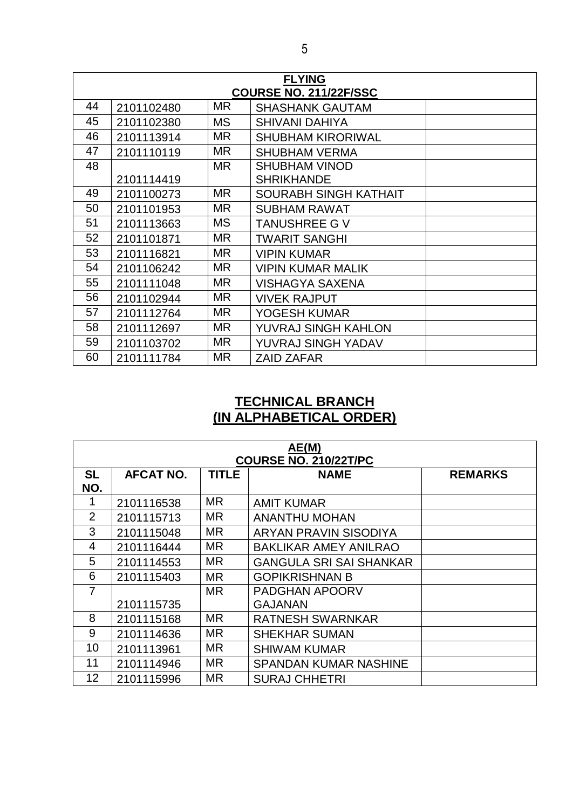|    | <b>FLYING</b> |           |                               |  |  |
|----|---------------|-----------|-------------------------------|--|--|
|    |               |           | <b>COURSE NO. 211/22F/SSC</b> |  |  |
| 44 | 2101102480    | <b>MR</b> | <b>SHASHANK GAUTAM</b>        |  |  |
| 45 | 2101102380    | <b>MS</b> | <b>SHIVANI DAHIYA</b>         |  |  |
| 46 | 2101113914    | <b>MR</b> | <b>SHUBHAM KIRORIWAL</b>      |  |  |
| 47 | 2101110119    | <b>MR</b> | <b>SHUBHAM VERMA</b>          |  |  |
| 48 |               | <b>MR</b> | <b>SHUBHAM VINOD</b>          |  |  |
|    | 2101114419    |           | <b>SHRIKHANDE</b>             |  |  |
| 49 | 2101100273    | <b>MR</b> | <b>SOURABH SINGH KATHAIT</b>  |  |  |
| 50 | 2101101953    | <b>MR</b> | <b>SUBHAM RAWAT</b>           |  |  |
| 51 | 2101113663    | <b>MS</b> | <b>TANUSHREE G V</b>          |  |  |
| 52 | 2101101871    | <b>MR</b> | <b>TWARIT SANGHI</b>          |  |  |
| 53 | 2101116821    | <b>MR</b> | <b>VIPIN KUMAR</b>            |  |  |
| 54 | 2101106242    | <b>MR</b> | <b>VIPIN KUMAR MALIK</b>      |  |  |
| 55 | 2101111048    | <b>MR</b> | <b>VISHAGYA SAXENA</b>        |  |  |
| 56 | 2101102944    | <b>MR</b> | <b>VIVEK RAJPUT</b>           |  |  |
| 57 | 2101112764    | <b>MR</b> | YOGESH KUMAR                  |  |  |
| 58 | 2101112697    | <b>MR</b> | YUVRAJ SINGH KAHLON           |  |  |
| 59 | 2101103702    | <b>MR</b> | YUVRAJ SINGH YADAV            |  |  |
| 60 | 2101111784    | <b>MR</b> | <b>ZAID ZAFAR</b>             |  |  |

## **TECHNICAL BRANCH (IN ALPHABETICAL ORDER)**

| AE(M)<br><b>COURSE NO. 210/22T/PC</b> |                  |              |                                |                |
|---------------------------------------|------------------|--------------|--------------------------------|----------------|
| <b>SL</b><br>NO.                      | <b>AFCAT NO.</b> | <b>TITLE</b> | <b>NAME</b>                    | <b>REMARKS</b> |
|                                       | 2101116538       | <b>MR</b>    | <b>AMIT KUMAR</b>              |                |
| $\overline{2}$                        | 2101115713       | MR.          | <b>ANANTHU MOHAN</b>           |                |
| 3                                     | 2101115048       | <b>MR</b>    | ARYAN PRAVIN SISODIYA          |                |
| 4                                     | 2101116444       | <b>MR</b>    | <b>BAKLIKAR AMEY ANILRAO</b>   |                |
| 5                                     | 2101114553       | <b>MR</b>    | <b>GANGULA SRI SAI SHANKAR</b> |                |
| 6                                     | 2101115403       | <b>MR</b>    | <b>GOPIKRISHNAN B</b>          |                |
| $\overline{7}$                        |                  | <b>MR</b>    | <b>PADGHAN APOORV</b>          |                |
|                                       | 2101115735       |              | <b>GAJANAN</b>                 |                |
| 8                                     | 2101115168       | <b>MR</b>    | <b>RATNESH SWARNKAR</b>        |                |
| 9                                     | 2101114636       | MR.          | <b>SHEKHAR SUMAN</b>           |                |
| 10                                    | 2101113961       | MR.          | <b>SHIWAM KUMAR</b>            |                |
| 11                                    | 2101114946       | MR.          | <b>SPANDAN KUMAR NASHINE</b>   |                |
| 12                                    | 2101115996       | <b>MR</b>    | <b>SURAJ CHHETRI</b>           |                |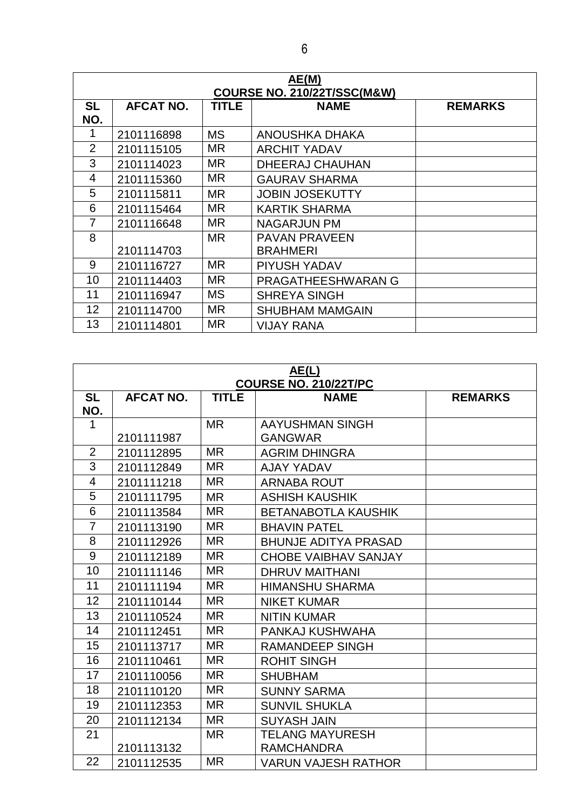| AE(M)<br><b>COURSE NO. 210/22T/SSC(M&amp;W)</b> |                  |              |                           |                |
|-------------------------------------------------|------------------|--------------|---------------------------|----------------|
| <b>SL</b><br>NO.                                | <b>AFCAT NO.</b> | <b>TITLE</b> | <b>NAME</b>               | <b>REMARKS</b> |
| 1                                               | 2101116898       | <b>MS</b>    | ANOUSHKA DHAKA            |                |
| $\overline{2}$                                  | 2101115105       | MR           | <b>ARCHIT YADAV</b>       |                |
| 3                                               | 2101114023       | MR.          | <b>DHEERAJ CHAUHAN</b>    |                |
| 4                                               | 2101115360       | MR.          | <b>GAURAV SHARMA</b>      |                |
| 5                                               | 2101115811       | <b>MR</b>    | <b>JOBIN JOSEKUTTY</b>    |                |
| 6                                               | 2101115464       | MR.          | <b>KARTIK SHARMA</b>      |                |
|                                                 | 2101116648       | MR.          | NAGARJUN PM               |                |
| 8                                               |                  | <b>MR</b>    | <b>PAVAN PRAVEEN</b>      |                |
|                                                 | 2101114703       |              | <b>BRAHMERI</b>           |                |
| 9                                               | 2101116727       | MR           | <b>PIYUSH YADAV</b>       |                |
| 10                                              | 2101114403       | MR.          | <b>PRAGATHEESHWARAN G</b> |                |
| 11                                              | 2101116947       | <b>MS</b>    | <b>SHREYA SINGH</b>       |                |
| 12                                              | 2101114700       | MR.          | <b>SHUBHAM MAMGAIN</b>    |                |
| 13                                              | 2101114801       | <b>MR</b>    | <b>VIJAY RANA</b>         |                |

| AE(L)<br><b>COURSE NO. 210/22T/PC</b> |                  |              |                             |                |
|---------------------------------------|------------------|--------------|-----------------------------|----------------|
| <b>SL</b><br>NO.                      | <b>AFCAT NO.</b> | <b>TITLE</b> | <b>NAME</b>                 | <b>REMARKS</b> |
| 1                                     |                  | <b>MR</b>    | AAYUSHMAN SINGH             |                |
|                                       | 2101111987       |              | <b>GANGWAR</b>              |                |
| $\overline{2}$                        | 2101112895       | <b>MR</b>    | <b>AGRIM DHINGRA</b>        |                |
| $\overline{3}$                        | 2101112849       | <b>MR</b>    | <b>AJAY YADAV</b>           |                |
| $\overline{4}$                        | 2101111218       | <b>MR</b>    | <b>ARNABA ROUT</b>          |                |
| 5                                     | 2101111795       | <b>MR</b>    | <b>ASHISH KAUSHIK</b>       |                |
| 6                                     | 2101113584       | <b>MR</b>    | <b>BETANABOTLA KAUSHIK</b>  |                |
| $\overline{7}$                        | 2101113190       | <b>MR</b>    | <b>BHAVIN PATEL</b>         |                |
| 8                                     | 2101112926       | <b>MR</b>    | <b>BHUNJE ADITYA PRASAD</b> |                |
| 9                                     | 2101112189       | <b>MR</b>    | <b>CHOBE VAIBHAV SANJAY</b> |                |
| 10                                    | 2101111146       | <b>MR</b>    | <b>DHRUV MAITHANI</b>       |                |
| 11                                    | 2101111194       | <b>MR</b>    | <b>HIMANSHU SHARMA</b>      |                |
| 12                                    | 2101110144       | <b>MR</b>    | <b>NIKET KUMAR</b>          |                |
| 13                                    | 2101110524       | <b>MR</b>    | <b>NITIN KUMAR</b>          |                |
| 14                                    | 2101112451       | MR.          | PANKAJ KUSHWAHA             |                |
| 15                                    | 2101113717       | <b>MR</b>    | <b>RAMANDEEP SINGH</b>      |                |
| 16                                    | 2101110461       | <b>MR</b>    | <b>ROHIT SINGH</b>          |                |
| 17                                    | 2101110056       | <b>MR</b>    | <b>SHUBHAM</b>              |                |
| 18                                    | 2101110120       | <b>MR</b>    | <b>SUNNY SARMA</b>          |                |
| 19                                    | 2101112353       | <b>MR</b>    | <b>SUNVIL SHUKLA</b>        |                |
| 20                                    | 2101112134       | <b>MR</b>    | <b>SUYASH JAIN</b>          |                |
| 21                                    |                  | <b>MR</b>    | <b>TELANG MAYURESH</b>      |                |
|                                       | 2101113132       |              | <b>RAMCHANDRA</b>           |                |
| 22                                    | 2101112535       | <b>MR</b>    | <b>VARUN VAJESH RATHOR</b>  |                |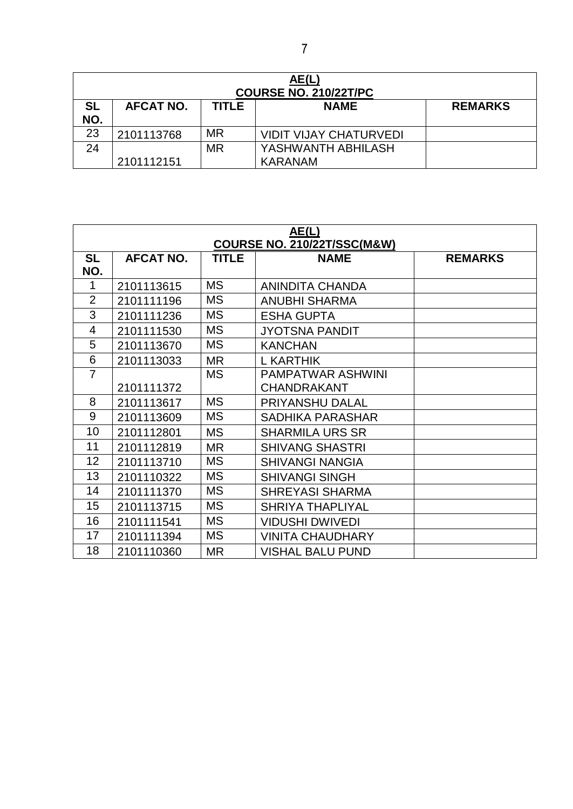| AE(L)<br><b>COURSE NO. 210/22T/PC</b> |                  |              |                               |                |
|---------------------------------------|------------------|--------------|-------------------------------|----------------|
| <b>SL</b><br>NO.                      | <b>AFCAT NO.</b> | <b>TITLE</b> | <b>NAME</b>                   | <b>REMARKS</b> |
| 23                                    | 2101113768       | <b>MR</b>    | <b>VIDIT VIJAY CHATURVEDI</b> |                |
| 24                                    |                  | <b>MR</b>    | YASHWANTH ABHILASH            |                |
|                                       | 2101112151       |              | <b>KARANAM</b>                |                |

| <u>AE(L)</u>   |                  |              |                                        |                |
|----------------|------------------|--------------|----------------------------------------|----------------|
|                |                  |              | <b>COURSE NO. 210/22T/SSC(M&amp;W)</b> |                |
| <b>SL</b>      | <b>AFCAT NO.</b> | <b>TITLE</b> | <b>NAME</b>                            | <b>REMARKS</b> |
| NO.            |                  |              |                                        |                |
| $\mathbf 1$    | 2101113615       | <b>MS</b>    | ANINDITA CHANDA                        |                |
| $\overline{2}$ | 2101111196       | <b>MS</b>    | <b>ANUBHI SHARMA</b>                   |                |
| 3              | 2101111236       | <b>MS</b>    | <b>ESHA GUPTA</b>                      |                |
| 4              | 2101111530       | <b>MS</b>    | <b>JYOTSNA PANDIT</b>                  |                |
| 5              | 2101113670       | <b>MS</b>    | <b>KANCHAN</b>                         |                |
| 6              | 2101113033       | <b>MR</b>    | <b>L KARTHIK</b>                       |                |
| $\overline{7}$ |                  | <b>MS</b>    | <b>PAMPATWAR ASHWINI</b>               |                |
|                | 2101111372       |              | <b>CHANDRAKANT</b>                     |                |
| 8              | 2101113617       | <b>MS</b>    | PRIYANSHU DALAL                        |                |
| 9              | 2101113609       | <b>MS</b>    | <b>SADHIKA PARASHAR</b>                |                |
| 10             | 2101112801       | <b>MS</b>    | <b>SHARMILA URS SR</b>                 |                |
| 11             | 2101112819       | <b>MR</b>    | <b>SHIVANG SHASTRI</b>                 |                |
| 12             | 2101113710       | <b>MS</b>    | <b>SHIVANGI NANGIA</b>                 |                |
| 13             | 2101110322       | <b>MS</b>    | <b>SHIVANGI SINGH</b>                  |                |
| 14             | 2101111370       | <b>MS</b>    | <b>SHREYASI SHARMA</b>                 |                |
| 15             | 2101113715       | <b>MS</b>    | <b>SHRIYA THAPLIYAL</b>                |                |
| 16             | 2101111541       | <b>MS</b>    | <b>VIDUSHI DWIVEDI</b>                 |                |
| 17             | 2101111394       | <b>MS</b>    | <b>VINITA CHAUDHARY</b>                |                |
| 18             | 2101110360       | <b>MR</b>    | <b>VISHAL BALU PUND</b>                |                |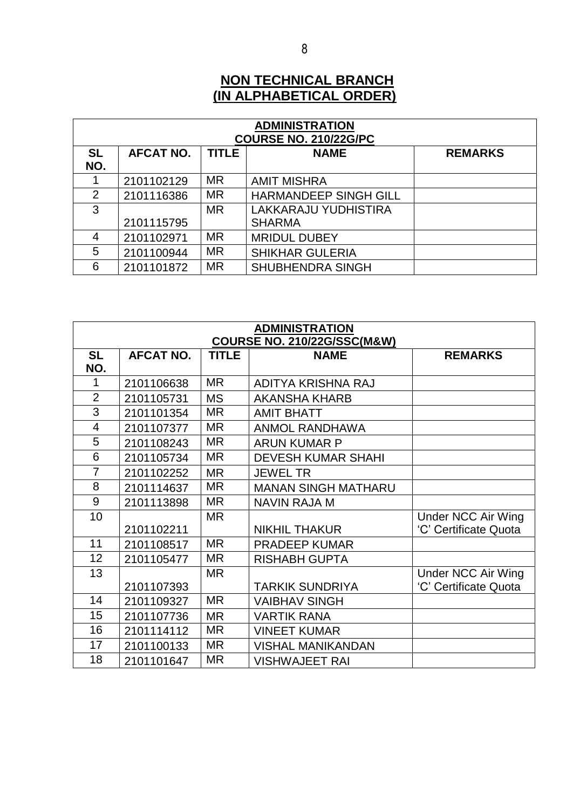### **NON TECHNICAL BRANCH (IN ALPHABETICAL ORDER)**

| <b>ADMINISTRATION</b><br><b>COURSE NO. 210/22G/PC</b> |                  |              |                              |                |  |  |
|-------------------------------------------------------|------------------|--------------|------------------------------|----------------|--|--|
| <b>SL</b><br>NO.                                      | <b>AFCAT NO.</b> | <b>TITLE</b> | <b>NAME</b>                  | <b>REMARKS</b> |  |  |
|                                                       | 2101102129       | MR           | <b>AMIT MISHRA</b>           |                |  |  |
| 2                                                     | 2101116386       | MR           | <b>HARMANDEEP SINGH GILL</b> |                |  |  |
| 3                                                     |                  | <b>MR</b>    | LAKKARAJU YUDHISTIRA         |                |  |  |
|                                                       | 2101115795       |              | <b>SHARMA</b>                |                |  |  |
| 4                                                     | 2101102971       | <b>MR</b>    | <b>MRIDUL DUBEY</b>          |                |  |  |
| 5                                                     | 2101100944       | <b>MR</b>    | <b>SHIKHAR GULERIA</b>       |                |  |  |
| 6                                                     | 2101101872       | <b>MR</b>    | <b>SHUBHENDRA SINGH</b>      |                |  |  |

| <b>ADMINISTRATION</b> |                  |              |                                        |                           |
|-----------------------|------------------|--------------|----------------------------------------|---------------------------|
|                       |                  |              | <b>COURSE NO. 210/22G/SSC(M&amp;W)</b> |                           |
| <b>SL</b>             | <b>AFCAT NO.</b> | <b>TITLE</b> | <b>NAME</b>                            | <b>REMARKS</b>            |
| NO.                   |                  |              |                                        |                           |
| 1                     | 2101106638       | <b>MR</b>    | ADITYA KRISHNA RAJ                     |                           |
| $\overline{2}$        | 2101105731       | <b>MS</b>    | <b>AKANSHA KHARB</b>                   |                           |
| 3                     | 2101101354       | <b>MR</b>    | <b>AMIT BHATT</b>                      |                           |
| $\overline{4}$        | 2101107377       | <b>MR</b>    | <b>ANMOL RANDHAWA</b>                  |                           |
| 5                     | 2101108243       | <b>MR</b>    | <b>ARUN KUMAR P</b>                    |                           |
| 6                     | 2101105734       | <b>MR</b>    | <b>DEVESH KUMAR SHAHI</b>              |                           |
| $\overline{7}$        | 2101102252       | <b>MR</b>    | <b>JEWEL TR</b>                        |                           |
| 8                     | 2101114637       | <b>MR</b>    | <b>MANAN SINGH MATHARU</b>             |                           |
| 9                     | 2101113898       | <b>MR</b>    | <b>NAVIN RAJA M</b>                    |                           |
| 10                    |                  | <b>MR</b>    |                                        | <b>Under NCC Air Wing</b> |
|                       | 2101102211       |              | <b>NIKHIL THAKUR</b>                   | 'C' Certificate Quota     |
| 11                    | 2101108517       | <b>MR</b>    | <b>PRADEEP KUMAR</b>                   |                           |
| 12                    | 2101105477       | <b>MR</b>    | <b>RISHABH GUPTA</b>                   |                           |
| 13                    |                  | <b>MR</b>    |                                        | <b>Under NCC Air Wing</b> |
|                       | 2101107393       |              | <b>TARKIK SUNDRIYA</b>                 | 'C' Certificate Quota     |
| 14                    | 2101109327       | <b>MR</b>    | <b>VAIBHAV SINGH</b>                   |                           |
| 15                    | 2101107736       | <b>MR</b>    | <b>VARTIK RANA</b>                     |                           |
| 16                    | 2101114112       | <b>MR</b>    | <b>VINEET KUMAR</b>                    |                           |
| 17                    | 2101100133       | <b>MR</b>    | <b>VISHAL MANIKANDAN</b>               |                           |
| 18                    | 2101101647       | <b>MR</b>    | <b>VISHWAJEET RAI</b>                  |                           |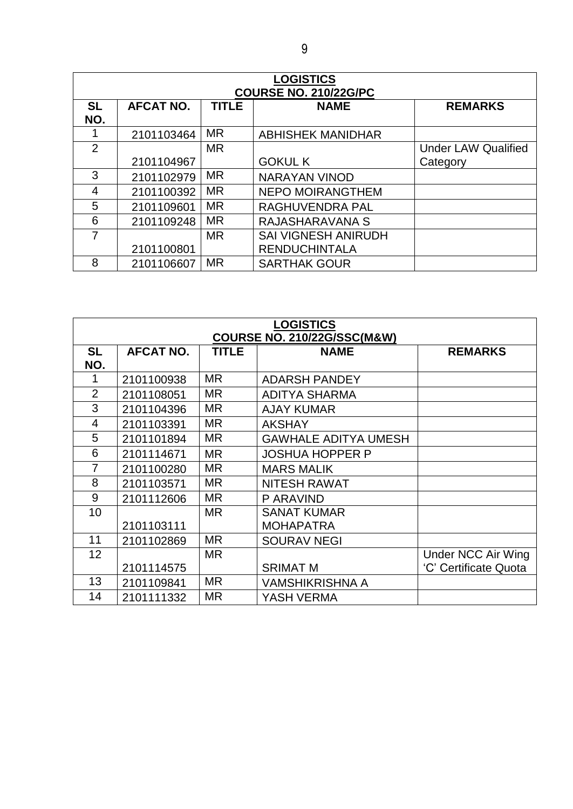| <b>LOGISTICS</b><br><b>COURSE NO. 210/22G/PC</b> |                  |              |                            |                            |  |
|--------------------------------------------------|------------------|--------------|----------------------------|----------------------------|--|
| <b>SL</b><br>NO.                                 | <b>AFCAT NO.</b> | <b>TITLE</b> | <b>NAME</b>                | <b>REMARKS</b>             |  |
|                                                  | 2101103464       | <b>MR</b>    | <b>ABHISHEK MANIDHAR</b>   |                            |  |
| 2                                                |                  | <b>MR</b>    |                            | <b>Under LAW Qualified</b> |  |
|                                                  | 2101104967       |              | <b>GOKUL K</b>             | Category                   |  |
| 3                                                | 2101102979       | <b>MR</b>    | <b>NARAYAN VINOD</b>       |                            |  |
| 4                                                | 2101100392       | <b>MR</b>    | <b>NEPO MOIRANGTHEM</b>    |                            |  |
| 5                                                | 2101109601       | <b>MR</b>    | <b>RAGHUVENDRA PAL</b>     |                            |  |
| 6                                                | 2101109248       | <b>MR</b>    | RAJASHARAVANA S            |                            |  |
| 7                                                |                  | <b>MR</b>    | <b>SAI VIGNESH ANIRUDH</b> |                            |  |
|                                                  | 2101100801       |              | <b>RENDUCHINTALA</b>       |                            |  |
| 8                                                | 2101106607       | <b>MR</b>    | <b>SARTHAK GOUR</b>        |                            |  |

| <b>LOGISTICS</b>                       |                  |              |                             |                           |  |
|----------------------------------------|------------------|--------------|-----------------------------|---------------------------|--|
| <b>COURSE NO. 210/22G/SSC(M&amp;W)</b> |                  |              |                             |                           |  |
| <b>SL</b>                              | <b>AFCAT NO.</b> | <b>TITLE</b> | <b>NAME</b>                 | <b>REMARKS</b>            |  |
| NO.                                    |                  |              |                             |                           |  |
| 1                                      | 2101100938       | <b>MR</b>    | <b>ADARSH PANDEY</b>        |                           |  |
| $\overline{2}$                         | 2101108051       | <b>MR</b>    | <b>ADITYA SHARMA</b>        |                           |  |
| 3                                      | 2101104396       | <b>MR</b>    | <b>AJAY KUMAR</b>           |                           |  |
| 4                                      | 2101103391       | <b>MR</b>    | <b>AKSHAY</b>               |                           |  |
| 5                                      | 2101101894       | <b>MR</b>    | <b>GAWHALE ADITYA UMESH</b> |                           |  |
| 6                                      | 2101114671       | <b>MR</b>    | <b>JOSHUA HOPPER P</b>      |                           |  |
| $\overline{7}$                         | 2101100280       | <b>MR</b>    | <b>MARS MALIK</b>           |                           |  |
| 8                                      | 2101103571       | <b>MR</b>    | <b>NITESH RAWAT</b>         |                           |  |
| 9                                      | 2101112606       | <b>MR</b>    | P ARAVIND                   |                           |  |
| 10                                     |                  | <b>MR</b>    | <b>SANAT KUMAR</b>          |                           |  |
|                                        | 2101103111       |              | <b>MOHAPATRA</b>            |                           |  |
| 11                                     | 2101102869       | <b>MR</b>    | <b>SOURAV NEGI</b>          |                           |  |
| 12                                     |                  | <b>MR</b>    |                             | <b>Under NCC Air Wing</b> |  |
|                                        | 2101114575       |              | <b>SRIMAT M</b>             | 'C' Certificate Quota     |  |
| 13                                     | 2101109841       | <b>MR</b>    | <b>VAMSHIKRISHNA A</b>      |                           |  |
| 14                                     | 2101111332       | <b>MR</b>    | YASH VERMA                  |                           |  |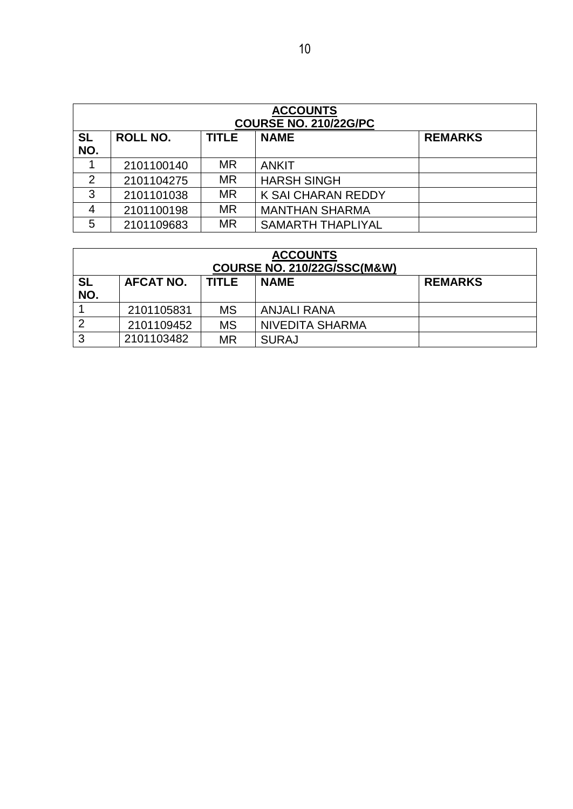| <b>ACCOUNTS</b><br><b>COURSE NO. 210/22G/PC</b> |                 |              |                           |                |  |
|-------------------------------------------------|-----------------|--------------|---------------------------|----------------|--|
| <b>SL</b><br>NO.                                | <b>ROLL NO.</b> | <b>TITLE</b> | <b>NAME</b>               | <b>REMARKS</b> |  |
|                                                 | 2101100140      | <b>MR</b>    | <b>ANKIT</b>              |                |  |
| 2                                               | 2101104275      | <b>MR</b>    | <b>HARSH SINGH</b>        |                |  |
| 3                                               | 2101101038      | <b>MR</b>    | <b>K SAI CHARAN REDDY</b> |                |  |
| $\overline{4}$                                  | 2101100198      | <b>MR</b>    | <b>MANTHAN SHARMA</b>     |                |  |
| 5                                               | 2101109683      | <b>MR</b>    | <b>SAMARTH THAPLIYAL</b>  |                |  |

| <b>ACCOUNTS</b><br><b>COURSE NO. 210/22G/SSC(M&amp;W)</b> |                  |              |                        |                |  |
|-----------------------------------------------------------|------------------|--------------|------------------------|----------------|--|
| <b>SL</b><br>NO.                                          | <b>AFCAT NO.</b> | <b>TITLE</b> | <b>NAME</b>            | <b>REMARKS</b> |  |
|                                                           | 2101105831       | <b>MS</b>    | <b>ANJALI RANA</b>     |                |  |
| $\overline{2}$                                            | 2101109452       | <b>MS</b>    | <b>NIVEDITA SHARMA</b> |                |  |
| 3                                                         | 2101103482       | MR           | <b>SURAJ</b>           |                |  |